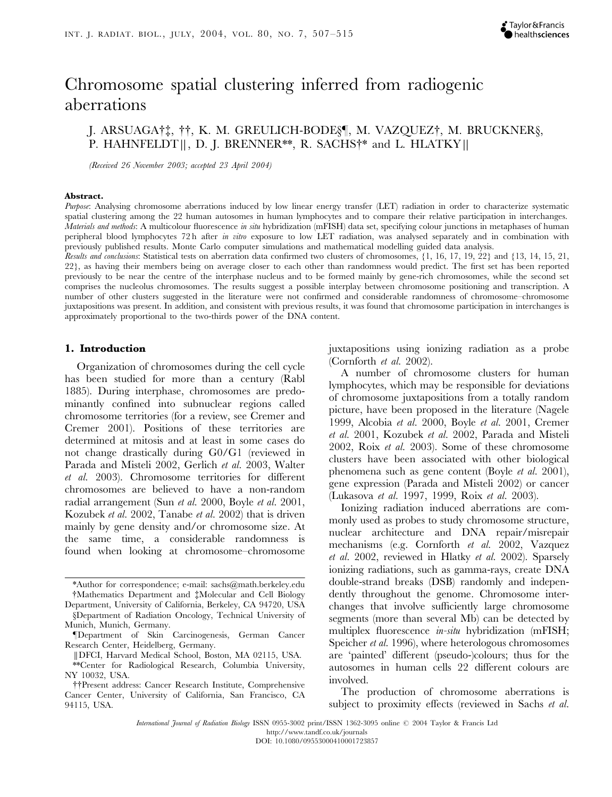# Chromosome spatial clustering inferred from radiogenic aberrations

L. ARSUAGA† ${\ddagger}$ , ††, K. M. GREULICH-BODE§¶, M. VAZQUEZ†, M. BRUCKNER§, P. HAHNFELDT ||, D. J. BRENNER\*\*, R. SACHS<sup>†\*</sup> and L. HLATKY ||

(Received 26 November 2003; accepted 23 April 2004)

#### Abstract.

Purpose: Analysing chromosome aberrations induced by low linear energy transfer (LET) radiation in order to characterize systematic spatial clustering among the 22 human autosomes in human lymphocytes and to compare their relative participation in interchanges. Materials and methods: A multicolour fluorescence in situ hybridization (mFISH) data set, specifying colour junctions in metaphases of human peripheral blood lymphocytes 72 h after in vitro exposure to low LET radiation, was analysed separately and in combination with previously published results. Monte Carlo computer simulations and mathematical modelling guided data analysis.

Results and conclusions: Statistical tests on aberration data confirmed two clusters of chromosomes,  $\{1, 16, 17, 19, 22\}$  and  $\{13, 14, 15, 21,$ 22}, as having their members being on average closer to each other than randomness would predict. The first set has been reported previously to be near the centre of the interphase nucleus and to be formed mainly by gene-rich chromosomes, while the second set comprises the nucleolus chromosomes. The results suggest a possible interplay between chromosome positioning and transcription. A number of other clusters suggested in the literature were not confirmed and considerable randomness of chromosome–chromosome juxtapositions was present. In addition, and consistent with previous results, it was found that chromosome participation in interchanges is approximately proportional to the two-thirds power of the DNA content.

#### 1. Introduction

Organization of chromosomes during the cell cycle has been studied for more than a century (Rabl 1885). During interphase, chromosomes are predominantly confined into subnuclear regions called chromosome territories (for a review, see Cremer and Cremer 2001). Positions of these territories are determined at mitosis and at least in some cases do not change drastically during G0/G1 (reviewed in Parada and Misteli 2002, Gerlich et al. 2003, Walter et al. 2003). Chromosome territories for different chromosomes are believed to have a non-random radial arrangement (Sun et al. 2000, Boyle et al. 2001, Kozubek et al. 2002, Tanabe et al. 2002) that is driven mainly by gene density and/or chromosome size. At the same time, a considerable randomness is found when looking at chromosome–chromosome

juxtapositions using ionizing radiation as a probe (Cornforth et al. 2002).

A number of chromosome clusters for human lymphocytes, which may be responsible for deviations of chromosome juxtapositions from a totally random picture, have been proposed in the literature (Nagele 1999, Alcobia et al. 2000, Boyle et al. 2001, Cremer et al. 2001, Kozubek et al. 2002, Parada and Misteli 2002, Roix et al. 2003). Some of these chromosome clusters have been associated with other biological phenomena such as gene content (Boyle et al. 2001), gene expression (Parada and Misteli 2002) or cancer (Lukasova et al. 1997, 1999, Roix et al. 2003).

Ionizing radiation induced aberrations are commonly used as probes to study chromosome structure, nuclear architecture and DNA repair/misrepair mechanisms (e.g. Cornforth et al. 2002, Vazquez et al. 2002, reviewed in Hlatky et al. 2002). Sparsely ionizing radiations, such as gamma-rays, create DNA double-strand breaks (DSB) randomly and independently throughout the genome. Chromosome interchanges that involve sufficiently large chromosome segments (more than several Mb) can be detected by multiplex fluorescence *in-situ* hybridization (mFISH; Speicher et al. 1996), where heterologous chromosomes are 'painted' different (pseudo-)colours; thus for the autosomes in human cells 22 different colours are involved.

The production of chromosome aberrations is subject to proximity effects (reviewed in Sachs *et al.* 

International Journal of Radiation Biology ISSN 0955-3002 print/ISSN 1362-3095 online <sup>©</sup> 2004 Taylor & Francis Ltd

http://www.tandf.co.uk/journals

<sup>\*</sup>Author for correspondence; e-mail: sachs@math.berkeley.edu {Mathematics Department and {Molecular and Cell Biology Department, University of California, Berkeley, CA 94720, USA

<sup>§</sup>Department of Radiation Oncology, Technical University of Munich, Munich, Germany.

<sup>}</sup>Department of Skin Carcinogenesis, German Cancer Research Center, Heidelberg, Germany.

<sup>||</sup>DFCI, Harvard Medical School, Boston, MA 02115, USA. \*\*Center for Radiological Research, Columbia University, NY 10032, USA.

<sup>{{</sup>Present address: Cancer Research Institute, Comprehensive Cancer Center, University of California, San Francisco, CA 94115, USA.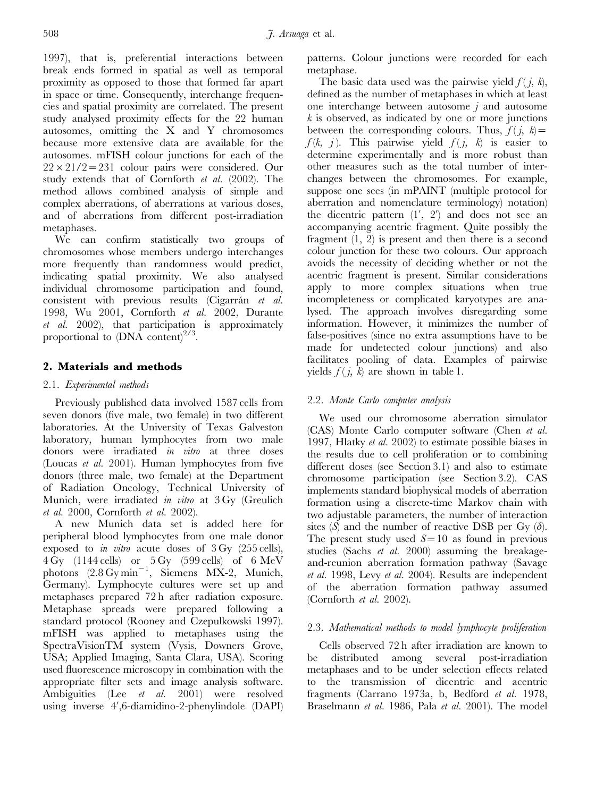1997), that is, preferential interactions between break ends formed in spatial as well as temporal proximity as opposed to those that formed far apart in space or time. Consequently, interchange frequencies and spatial proximity are correlated. The present study analysed proximity effects for the 22 human autosomes, omitting the X and Y chromosomes because more extensive data are available for the autosomes. mFISH colour junctions for each of the  $22 \times 21/2 = 231$  colour pairs were considered. Our study extends that of Cornforth et al. (2002). The method allows combined analysis of simple and complex aberrations, of aberrations at various doses, and of aberrations from different post-irradiation metaphases.

We can confirm statistically two groups of chromosomes whose members undergo interchanges more frequently than randomness would predict, indicating spatial proximity. We also analysed individual chromosome participation and found, consistent with previous results (Cigarrán et al. 1998, Wu 2001, Cornforth et al. 2002, Durante et al. 2002), that participation is approximately proportional to  $(DNA \text{ content})^{2/3}$ .

# 2. Materials and methods

## 2.1. Experimental methods

Previously published data involved 1587 cells from seven donors (five male, two female) in two different laboratories. At the University of Texas Galveston laboratory, human lymphocytes from two male donors were irradiated in vitro at three doses (Loucas et al. 2001). Human lymphocytes from five donors (three male, two female) at the Department of Radiation Oncology, Technical University of Munich, were irradiated in vitro at 3 Gy (Greulich et al. 2000, Cornforth et al. 2002).

A new Munich data set is added here for peripheral blood lymphocytes from one male donor exposed to *in vitro* acute doses of  $3 \text{ Gy}$  (255 cells), 4 Gy (1144 cells) or 5 Gy (599 cells) of 6 MeV photons  $(2.8 \,\mathrm{Gy} \,\mathrm{min}^{-1}$ , Siemens MX-2, Munich, Germany). Lymphocyte cultures were set up and metaphases prepared 72 h after radiation exposure. Metaphase spreads were prepared following a standard protocol (Rooney and Czepulkowski 1997). mFISH was applied to metaphases using the SpectraVisionTM system (Vysis, Downers Grove, USA; Applied Imaging, Santa Clara, USA). Scoring used fluorescence microscopy in combination with the appropriate filter sets and image analysis software. Ambiguities (Lee et al. 2001) were resolved using inverse 4',6-diamidino-2-phenylindole (DAPI) patterns. Colour junctions were recorded for each metaphase.

The basic data used was the pairwise yield  $f(j, k)$ , defined as the number of metaphases in which at least one interchange between autosome  $j$  and autosome  $k$  is observed, as indicated by one or more junctions between the corresponding colours. Thus,  $f(j, k) =$  $f(k, j)$ . This pairwise yield  $f(j, k)$  is easier to determine experimentally and is more robust than other measures such as the total number of interchanges between the chromosomes. For example, suppose one sees (in mPAINT (multiple protocol for aberration and nomenclature terminology) notation) the dicentric pattern  $(1', 2')$  and does not see an accompanying acentric fragment. Quite possibly the fragment (1, 2) is present and then there is a second colour junction for these two colours. Our approach avoids the necessity of deciding whether or not the acentric fragment is present. Similar considerations apply to more complex situations when true incompleteness or complicated karyotypes are analysed. The approach involves disregarding some information. However, it minimizes the number of false-positives (since no extra assumptions have to be made for undetected colour junctions) and also facilitates pooling of data. Examples of pairwise yields  $f(j, k)$  are shown in table 1.

## 2.2. Monte Carlo computer analysis

We used our chromosome aberration simulator (CAS) Monte Carlo computer software (Chen et al. 1997, Hlatky et al. 2002) to estimate possible biases in the results due to cell proliferation or to combining different doses (see Section 3.1) and also to estimate chromosome participation (see Section 3.2). CAS implements standard biophysical models of aberration formation using a discrete-time Markov chain with two adjustable parameters, the number of interaction sites (S) and the number of reactive DSB per Gy  $(\delta)$ . The present study used  $S=10$  as found in previous studies (Sachs *et al.* 2000) assuming the breakageand-reunion aberration formation pathway (Savage et al. 1998, Levy et al. 2004). Results are independent of the aberration formation pathway assumed (Cornforth et al. 2002).

## 2.3. Mathematical methods to model lymphocyte proliferation

Cells observed 72 h after irradiation are known to be distributed among several post-irradiation metaphases and to be under selection effects related to the transmission of dicentric and acentric fragments (Carrano 1973a, b, Bedford et al. 1978, Braselmann et al. 1986, Pala et al. 2001). The model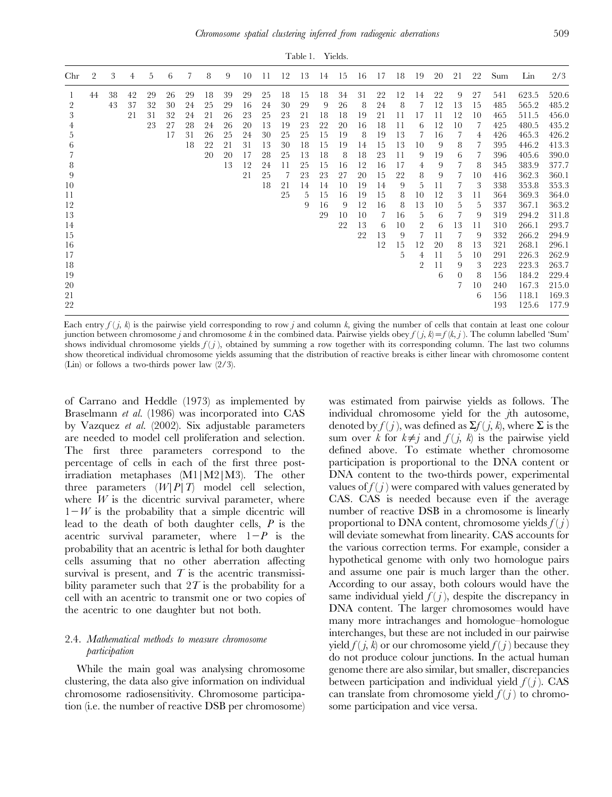| Chr            | $\overline{2}$ | 3  | 4  | 5  | 6  | 7  | 8  | 9  | 10 | 11 | 12 | 13 | 14 | 15 | 16 | 17 | 18 | 19             | 20 | 21       | 22 | Sum | Lin   | 2/3   |
|----------------|----------------|----|----|----|----|----|----|----|----|----|----|----|----|----|----|----|----|----------------|----|----------|----|-----|-------|-------|
|                | 44             | 38 | 42 | 29 | 26 | 29 | 18 | 39 | 29 | 25 | 18 | 15 | 18 | 34 | 31 | 22 | 12 | 14             | 22 | 9        | 27 | 541 | 623.5 | 520.6 |
| $\overline{2}$ |                | 43 | 37 | 32 | 30 | 24 | 25 | 29 | 16 | 24 | 30 | 29 | 9  | 26 | -8 | 24 | 8  | 7              | 12 | 13       | 15 | 485 | 565.2 | 485.2 |
| 3              |                |    | 21 | 31 | 32 | 24 | 21 | 26 | 23 | 25 | 23 | 21 | 18 | 18 | 19 | 21 | 11 | 17             | 11 | 12       | 10 | 465 | 511.5 | 456.0 |
| 4              |                |    |    | 23 | 27 | 28 | 24 | 26 | 20 | 13 | 19 | 23 | 22 | 20 | 16 | 18 | 11 | 6              | 12 | 10       | 7  | 425 | 480.5 | 435.2 |
| 5              |                |    |    |    | 17 | 31 | 26 | 25 | 24 | 30 | 25 | 25 | 15 | 19 | 8  | 19 | 13 | 7              | 16 | 7        | 4  | 426 | 465.3 | 426.2 |
| 6              |                |    |    |    |    | 18 | 22 | 21 | 31 | 13 | 30 | 18 | 15 | 19 | 14 | 15 | 13 | 10             | 9  | 8        | 7  | 395 | 446.2 | 413.3 |
| 7              |                |    |    |    |    |    | 20 | 20 | 17 | 28 | 25 | 13 | 18 | 8  | 18 | 23 | 11 | 9              | 19 | 6        | 7  | 396 | 405.6 | 390.0 |
| 8              |                |    |    |    |    |    |    | 13 | 12 | 24 | 11 | 25 | 15 | 16 | 12 | 16 | 17 | 4              | 9  | 7        | 8  | 345 | 383.9 | 377.7 |
| 9              |                |    |    |    |    |    |    |    | 21 | 25 | 7  | 23 | 23 | 27 | 20 | 15 | 22 | 8              | 9  | 7        | 10 | 416 | 362.3 | 360.1 |
| 10             |                |    |    |    |    |    |    |    |    | 18 | 21 | 14 | 14 | 10 | 19 | 14 | 9  | 5              | 11 | 7        | 3  | 338 | 353.8 | 353.3 |
| 11             |                |    |    |    |    |    |    |    |    |    | 25 | 5. | 15 | 16 | 19 | 15 | 8  | 10             | 12 | 3        | 11 | 364 | 369.3 | 364.0 |
| 12             |                |    |    |    |    |    |    |    |    |    |    | 9  | 16 | 9  | 12 | 16 | 8  | 13             | 10 | 5        | 5  | 337 | 367.1 | 363.2 |
| 13             |                |    |    |    |    |    |    |    |    |    |    |    | 29 | 10 | 10 | 7  | 16 | 5.             | 6  | 7        | 9  | 319 | 294.2 | 311.8 |
| 14             |                |    |    |    |    |    |    |    |    |    |    |    |    | 22 | 13 | 6  | 10 | $\overline{2}$ | 6  | 13       | 11 | 310 | 266.1 | 293.7 |
| 15             |                |    |    |    |    |    |    |    |    |    |    |    |    |    | 22 | 13 | 9  |                | 11 | 7        | 9  | 332 | 266.2 | 294.9 |
| 16             |                |    |    |    |    |    |    |    |    |    |    |    |    |    |    | 12 | 15 | 12             | 20 | 8        | 13 | 321 | 268.1 | 296.1 |
| 17             |                |    |    |    |    |    |    |    |    |    |    |    |    |    |    |    | 5  | 4              | 11 | 5        | 10 | 291 | 226.3 | 262.9 |
| 18             |                |    |    |    |    |    |    |    |    |    |    |    |    |    |    |    |    | 2              | 11 | 9        | 3  | 223 | 223.3 | 263.7 |
| 19             |                |    |    |    |    |    |    |    |    |    |    |    |    |    |    |    |    |                | 6  | $\Omega$ | 8  | 156 | 184.2 | 229.4 |
| 20             |                |    |    |    |    |    |    |    |    |    |    |    |    |    |    |    |    |                |    | 7        | 10 | 240 | 167.3 | 215.0 |
| 21             |                |    |    |    |    |    |    |    |    |    |    |    |    |    |    |    |    |                |    |          | 6  | 156 | 118.1 | 169.3 |
| 22             |                |    |    |    |    |    |    |    |    |    |    |    |    |    |    |    |    |                |    |          |    | 193 | 125.6 | 177.9 |

Each entry  $f(j, k)$  is the pairwise yield corresponding to row j and column k, giving the number of cells that contain at least one colour junction between chromosome j and chromosome k in the combined data. Pairwise yields obey  $f(j, k) = f(k, j)$ . The column labelled 'Sum' shows individual chromosome yields  $f(j)$ , obtained by summing a row together with its corresponding column. The last two columns show theoretical individual chromosome yields assuming that the distribution of reactive breaks is either linear with chromosome content (Lin) or follows a two-thirds power law (2/3).

of Carrano and Heddle (1973) as implemented by Braselmann *et al.* (1986) was incorporated into CAS by Vazquez et al. (2002). Six adjustable parameters are needed to model cell proliferation and selection. The first three parameters correspond to the percentage of cells in each of the first three postirradiation metaphases (M1|M2|M3). The other three parameters  $(W|P|T)$  model cell selection, where  $W$  is the dicentric survival parameter, where  $1-W$  is the probability that a simple dicentric will lead to the death of both daughter cells,  $P$  is the acentric survival parameter, where  $1-P$  is the probability that an acentric is lethal for both daughter cells assuming that no other aberration affecting survival is present, and  $T$  is the acentric transmissibility parameter such that  $2T$  is the probability for a cell with an acentric to transmit one or two copies of the acentric to one daughter but not both.

# 2.4. Mathematical methods to measure chromosome participation

While the main goal was analysing chromosome clustering, the data also give information on individual chromosome radiosensitivity. Chromosome participation (i.e. the number of reactive DSB per chromosome) was estimated from pairwise yields as follows. The individual chromosome yield for the *j*th autosome, denoted by  $f(j)$ , was defined as  $\Sigma f(j, k)$ , where  $\Sigma$  is the sum over k for  $k\neq j$  and  $f(j, k)$  is the pairwise yield defined above. To estimate whether chromosome participation is proportional to the DNA content or DNA content to the two-thirds power, experimental values of  $f(j)$  were compared with values generated by CAS. CAS is needed because even if the average number of reactive DSB in a chromosome is linearly proportional to DNA content, chromosome yields  $f(j)$ will deviate somewhat from linearity. CAS accounts for the various correction terms. For example, consider a hypothetical genome with only two homologue pairs and assume one pair is much larger than the other. According to our assay, both colours would have the same individual yield  $f(j)$ , despite the discrepancy in DNA content. The larger chromosomes would have many more intrachanges and homologue–homologue interchanges, but these are not included in our pairwise yield  $f(i, k)$  or our chromosome yield  $f(i)$  because they do not produce colour junctions. In the actual human genome there are also similar, but smaller, discrepancies between participation and individual yield  $f(j)$ . CAS can translate from chromosome yield  $f(j)$  to chromosome participation and vice versa.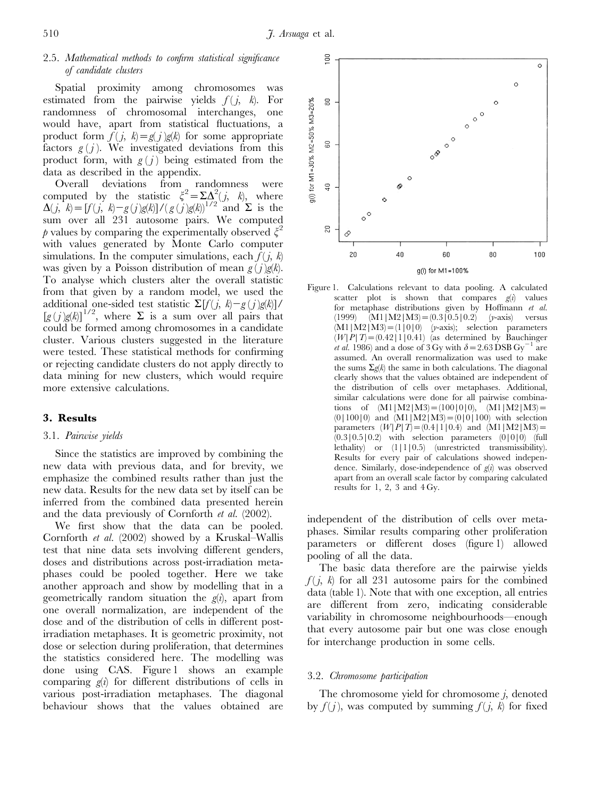# 2.5. Mathematical methods to confirm statistical significance of candidate clusters

Spatial proximity among chromosomes was estimated from the pairwise yields  $f(j, k)$ . For randomness of chromosomal interchanges, one would have, apart from statistical fluctuations, a product form  $f(j, k) = g(j)g(k)$  for some appropriate factors  $g(j)$ . We investigated deviations from this product form, with  $g(j)$  being estimated from the data as described in the appendix.

Overall deviations from randomness were computed by the statistic  $\xi^2 = \sum \Delta^2 (j, k)$ , where  $\Delta(j, k) = [f(j, k)-g(j)g(k)]/({g(j)g(k)})^{1/2}$  and  $\Sigma$  is the sum over all 231 autosome pairs. We computed p values by comparing the experimentally observed  $\xi^2$ with values generated by Monte Carlo computer simulations. In the computer simulations, each  $f(i, k)$ was given by a Poisson distribution of mean  $g(j)g(k)$ . To analyse which clusters alter the overall statistic from that given by a random model, we used the additional one-sided test statistic  $\Sigma[f(j, k)-g(j)g(k)]$ /  $[g(j)g(k)]^{1/2}$ , where  $\Sigma$  is a sum over all pairs that could be formed among chromosomes in a candidate cluster. Various clusters suggested in the literature were tested. These statistical methods for confirming or rejecting candidate clusters do not apply directly to data mining for new clusters, which would require more extensive calculations.

# 3. Results

## 3.1. Pairwise yields

Since the statistics are improved by combining the new data with previous data, and for brevity, we emphasize the combined results rather than just the new data. Results for the new data set by itself can be inferred from the combined data presented herein and the data previously of Cornforth et al. (2002).

We first show that the data can be pooled. Cornforth et al. (2002) showed by a Kruskal–Wallis test that nine data sets involving different genders, doses and distributions across post-irradiation metaphases could be pooled together. Here we take another approach and show by modelling that in a geometrically random situation the  $g(i)$ , apart from one overall normalization, are independent of the dose and of the distribution of cells in different postirradiation metaphases. It is geometric proximity, not dose or selection during proliferation, that determines the statistics considered here. The modelling was done using CAS. Figure 1 shows an example comparing  $g(i)$  for different distributions of cells in various post-irradiation metaphases. The diagonal behaviour shows that the values obtained are



Figure 1. Calculations relevant to data pooling. A calculated scatter plot is shown that compares  $g(i)$  values for metaphase distributions given by Hoffmann et al.  $(1999)$   $(M1|M2|M3) = (0.3|0.5|0.2)$  (y-axis) versus  $(M1|M2|M3) = (1|0|0)$  (*y*-axis); selection parameters  $(W|P|T)$  = (0.42|1|0.41) (as determined by Bauchinger *et al.* 1986) and a dose of 3 Gy with  $\delta$  = 2.63 DSB Gy<sup>-1</sup> are assumed. An overall renormalization was used to make the sums  $\Sigma g(k)$  the same in both calculations. The diagonal clearly shows that the values obtained are independent of the distribution of cells over metaphases. Additional, similar calculations were done for all pairwise combinations of  $(M1|M2|M3) = (100|0|0)$ ,  $(M1|M2|M3) =$  $(0|100|0)$  and  $(M1|M2|M3) = (0|0|100)$  with selection parameters  $(W|P|T) = (0.4|1|0.4)$  and  $(M1|M2|M3) =$  $(0.3|0.5|0.2)$  with selection parameters  $(0|0|0)$  (full lethality) or (1|1|0.5) (unrestricted transmissibility). Results for every pair of calculations showed independence. Similarly, dose-independence of  $g(i)$  was observed apart from an overall scale factor by comparing calculated results for 1, 2, 3 and  $4 \text{ Gy}$ .

independent of the distribution of cells over metaphases. Similar results comparing other proliferation parameters or different doses (figure 1) allowed pooling of all the data.

The basic data therefore are the pairwise yields  $f(j, k)$  for all 231 autosome pairs for the combined data (table 1). Note that with one exception, all entries are different from zero, indicating considerable variability in chromosome neighbourhoods—enough that every autosome pair but one was close enough for interchange production in some cells.

## 3.2. Chromosome participation

The chromosome yield for chromosome  $j$ , denoted by  $f(j)$ , was computed by summing  $f(j, k)$  for fixed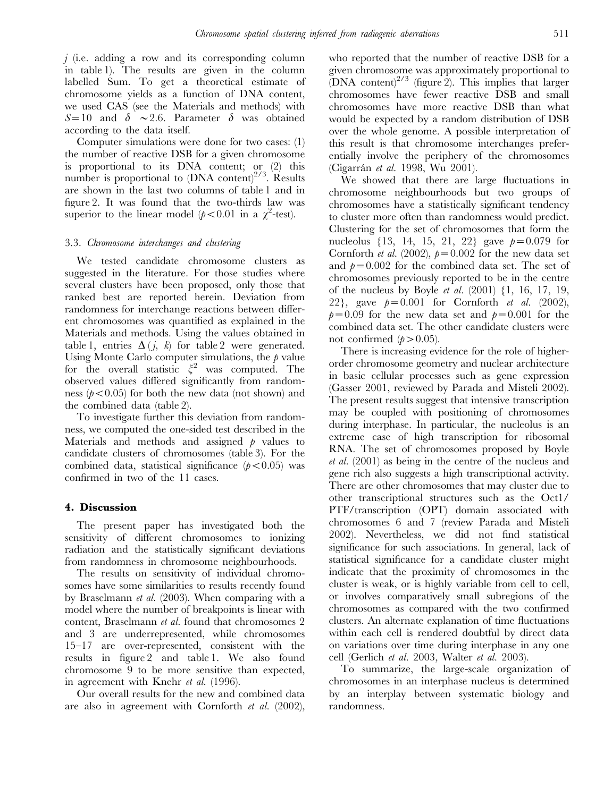$j$  (i.e. adding a row and its corresponding column in table 1). The results are given in the column labelled Sum. To get a theoretical estimate of chromosome yields as a function of DNA content, we used CAS (see the Materials and methods) with  $S=10$  and  $\delta \sim 2.6$ . Parameter  $\delta$  was obtained according to the data itself.

Computer simulations were done for two cases: (1) the number of reactive DSB for a given chromosome is proportional to its DNA content; or (2) this number is proportional to  $(DNA \text{ content})^{2/3}$ . Results are shown in the last two columns of table 1 and in figure 2. It was found that the two-thirds law was superior to the linear model ( $p < 0.01$  in a  $\chi^2$ -test).

## 3.3. Chromosome interchanges and clustering

We tested candidate chromosome clusters as suggested in the literature. For those studies where several clusters have been proposed, only those that ranked best are reported herein. Deviation from randomness for interchange reactions between different chromosomes was quantified as explained in the Materials and methods. Using the values obtained in table 1, entries  $\Delta(j, k)$  for table 2 were generated. Using Monte Carlo computer simulations, the  $\beta$  value for the overall statistic  $\xi^2$  was computed. The observed values differed significantly from randomness ( $p<0.05$ ) for both the new data (not shown) and the combined data (table 2).

To investigate further this deviation from randomness, we computed the one-sided test described in the Materials and methods and assigned  $\beta$  values to candidate clusters of chromosomes (table 3). For the combined data, statistical significance  $(p<0.05)$  was confirmed in two of the 11 cases.

# 4. Discussion

The present paper has investigated both the sensitivity of different chromosomes to ionizing radiation and the statistically significant deviations from randomness in chromosome neighbourhoods.

The results on sensitivity of individual chromosomes have some similarities to results recently found by Braselmann et al. (2003). When comparing with a model where the number of breakpoints is linear with content, Braselmann et al. found that chromosomes 2 and 3 are underrepresented, while chromosomes 15–17 are over-represented, consistent with the results in figure 2 and table 1. We also found chromosome 9 to be more sensitive than expected, in agreement with Knehr et al. (1996).

Our overall results for the new and combined data are also in agreement with Cornforth et al. (2002), who reported that the number of reactive DSB for a given chromosome was approximately proportional to (DNA content)<sup>2/3</sup> (figure 2). This implies that larger chromosomes have fewer reactive DSB and small chromosomes have more reactive DSB than what would be expected by a random distribution of DSB over the whole genome. A possible interpretation of this result is that chromosome interchanges preferentially involve the periphery of the chromosomes (Cigarrán et al. 1998, Wu 2001).

We showed that there are large fluctuations in chromosome neighbourhoods but two groups of chromosomes have a statistically significant tendency to cluster more often than randomness would predict. Clustering for the set of chromosomes that form the nucleolus  $\{13, 14, 15, 21, 22\}$  gave  $p=0.079$  for Cornforth et al. (2002),  $p=0.002$  for the new data set and  $p=0.002$  for the combined data set. The set of chromosomes previously reported to be in the centre of the nucleus by Boyle *et al.*  $(2001)$   $\{1, 16, 17, 19, \ldots\}$ 22}, gave  $p=0.001$  for Cornforth et al. (2002),  $p=0.09$  for the new data set and  $p=0.001$  for the combined data set. The other candidate clusters were not confirmed  $(p>0.05)$ .

There is increasing evidence for the role of higherorder chromosome geometry and nuclear architecture in basic cellular processes such as gene expression (Gasser 2001, reviewed by Parada and Misteli 2002). The present results suggest that intensive transcription may be coupled with positioning of chromosomes during interphase. In particular, the nucleolus is an extreme case of high transcription for ribosomal RNA. The set of chromosomes proposed by Boyle et al. (2001) as being in the centre of the nucleus and gene rich also suggests a high transcriptional activity. There are other chromosomes that may cluster due to other transcriptional structures such as the Oct1/ PTF/transcription (OPT) domain associated with chromosomes 6 and 7 (review Parada and Misteli 2002). Nevertheless, we did not find statistical significance for such associations. In general, lack of statistical significance for a candidate cluster might indicate that the proximity of chromosomes in the cluster is weak, or is highly variable from cell to cell, or involves comparatively small subregions of the chromosomes as compared with the two confirmed clusters. An alternate explanation of time fluctuations within each cell is rendered doubtful by direct data on variations over time during interphase in any one cell (Gerlich et al. 2003, Walter et al. 2003).

To summarize, the large-scale organization of chromosomes in an interphase nucleus is determined by an interplay between systematic biology and randomness.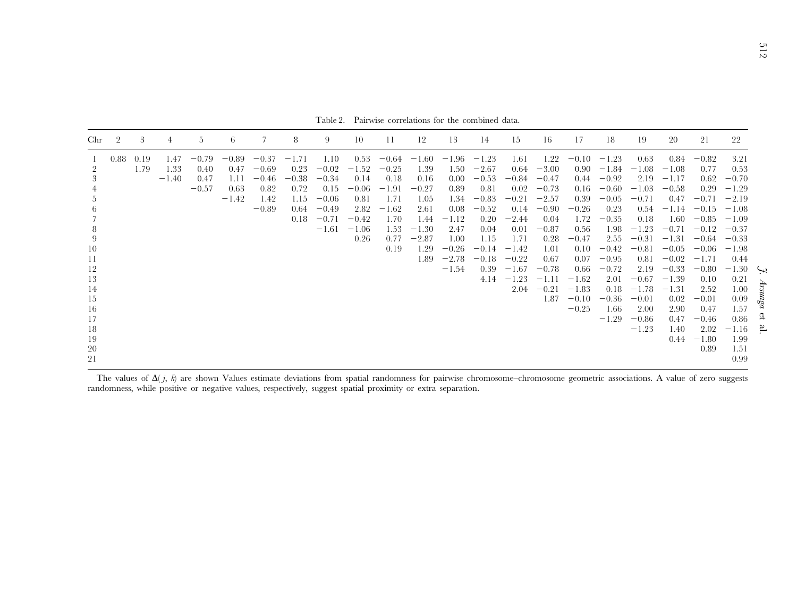Table 2. Pairwise correlations for the combined data.

| Chr                                                                                                                    |      | 3            | 4                       | 5                                  | b.                                         |                                                          | 8                                                          | 9                                                                              | 10                                                                               | 11                                                                                       | 12                                                                                               | 13                                                                                                          | 14                                                                                                                        | 15                                                                                                                                | 16                                                                                                                                              | 17                                                                                                                                                | 18                                                                                                                                                                    | 19                                                                                                                                                                            | 20                                                                                                                                                                                    | 21                                                                                                                                                                                               | 22                                                                                                                                                                                                 |                                                      |
|------------------------------------------------------------------------------------------------------------------------|------|--------------|-------------------------|------------------------------------|--------------------------------------------|----------------------------------------------------------|------------------------------------------------------------|--------------------------------------------------------------------------------|----------------------------------------------------------------------------------|------------------------------------------------------------------------------------------|--------------------------------------------------------------------------------------------------|-------------------------------------------------------------------------------------------------------------|---------------------------------------------------------------------------------------------------------------------------|-----------------------------------------------------------------------------------------------------------------------------------|-------------------------------------------------------------------------------------------------------------------------------------------------|---------------------------------------------------------------------------------------------------------------------------------------------------|-----------------------------------------------------------------------------------------------------------------------------------------------------------------------|-------------------------------------------------------------------------------------------------------------------------------------------------------------------------------|---------------------------------------------------------------------------------------------------------------------------------------------------------------------------------------|--------------------------------------------------------------------------------------------------------------------------------------------------------------------------------------------------|----------------------------------------------------------------------------------------------------------------------------------------------------------------------------------------------------|------------------------------------------------------|
| $\overline{2}$<br>3<br>5<br>$\sigma$<br>8<br>9<br>10<br>11<br>12<br>13<br>14<br>15<br>16<br>17<br>18<br>19<br>20<br>21 | 0.88 | 0.19<br>1.79 | 1.47<br>1.33<br>$-1.40$ | $-0.79$<br>0.40<br>0.47<br>$-0.57$ | $-0.89$<br>0.47<br>1.11<br>0.63<br>$-1.42$ | $-0.37$<br>$-0.69$<br>$-0.46$<br>0.82<br>1.42<br>$-0.89$ | $-1.71$<br>0.23<br>$-0.38$<br>0.72<br>1.15<br>0.64<br>0.18 | 1.10<br>$-0.02$<br>$-0.34$<br>0.15<br>$-0.06$<br>$-0.49$<br>$-0.71$<br>$-1.61$ | 0.53<br>$-1.52$<br>0.14<br>$-0.06$<br>0.81<br>2.82<br>$-0.42$<br>$-1.06$<br>0.26 | $-0.64$<br>$-0.25$<br>0.18<br>$-1.91$<br>1.71<br>$-1.62$<br>1.70<br>1.53<br>0.77<br>0.19 | $-1.60$<br>1.39<br>0.16<br>$-0.27$<br>1.05<br>2.61<br>1.44<br>$-1.30$<br>$-2.87$<br>1.29<br>1.89 | $-1.96$<br>1.50<br>0.00<br>0.89<br>1.34<br>0.08<br>$-1.12$<br>2.47<br>1.00<br>$-0.26$<br>$-2.78$<br>$-1.54$ | $-1.23$<br>$-2.67$<br>$-0.53$<br>0.81<br>$-0.83$<br>$-0.52$<br>0.20<br>0.04<br>1.15<br>$-0.14$<br>$-0.18$<br>0.39<br>4.14 | 1.61<br>0.64<br>$-0.84$<br>0.02<br>$-0.21$<br>0.14<br>$-2.44$<br>0.01<br>1.71<br>$-1.42$<br>$-0.22$<br>$-1.67$<br>$-1.23$<br>2.04 | 1.22<br>$-3.00$<br>$-0.47$<br>$-0.73$<br>$-2.57$<br>$-0.90$<br>0.04<br>$-0.87$<br>0.28<br>1.01<br>0.67<br>$-0.78$<br>$-1.11$<br>$-0.21$<br>1.87 | $-0.10$<br>0.90<br>0.44<br>0.16<br>0.39<br>$-0.26$<br>1.72<br>0.56<br>$-0.47$<br>0.10<br>0.07<br>0.66<br>$-1.62$<br>$-1.83$<br>$-0.10$<br>$-0.25$ | $-1.23$<br>$-1.84$<br>$-0.92$<br>$-0.60$<br>$-0.05$<br>0.23<br>$-0.35$<br>1.98<br>2.55<br>$-0.42$<br>$-0.95$<br>$-0.72$<br>2.01<br>0.18<br>$-0.36$<br>1.66<br>$-1.29$ | 0.63<br>$-1.08$<br>2.19<br>$-1.03$<br>$-0.71$<br>0.54<br>0.18<br>$-1.23$<br>$-0.31$<br>$-0.81$<br>0.81<br>2.19<br>$-0.67$<br>$-1.78$<br>$-0.01$<br>2.00<br>$-0.86$<br>$-1.23$ | 0.84<br>$-1.08$<br>$-1.17$<br>$-0.58$<br>0.47<br>$-1.14$<br>1.60<br>$-0.71$<br>$-1.31$<br>$-0.05$<br>$-0.02$<br>$-0.33$<br>$-1.39$<br>$-1.31$<br>0.02<br>2.90<br>0.47<br>1.40<br>0.44 | $-0.82$<br>0.77<br>0.62<br>0.29<br>$-0.71$<br>$-0.15$<br>$-0.85$<br>$-0.12$<br>$-0.64$<br>$-0.06$<br>$-1.71$<br>$-0.80$<br>0.10<br>2.52<br>$-0.01$<br>0.47<br>$-0.46$<br>2.02<br>$-1.80$<br>0.89 | 3.21<br>0.53<br>$-0.70$<br>$-1.29$<br>$-2.19$<br>$-1.08$<br>$-1.09$<br>$-0.37$<br>$-0.33$<br>$-1.98$<br>0.44<br>$-1.30$<br>0.21<br>1.00<br>0.09<br>1.57<br>0.86<br>$-1.16$<br>1.99<br>1.51<br>0.99 | $\hookrightarrow$<br>pSpnssq<br>εf<br>$\overline{5}$ |

The values of  $\Delta(j, k)$  are shown Values estimate deviations from spatial randomness for pairwise chromosome–chromosome geometric associations. A value of zero suggests randomness, while positive or negative values, respectively, sugges<sup>t</sup> spatial proximity or extra separation.

J. Arsuaga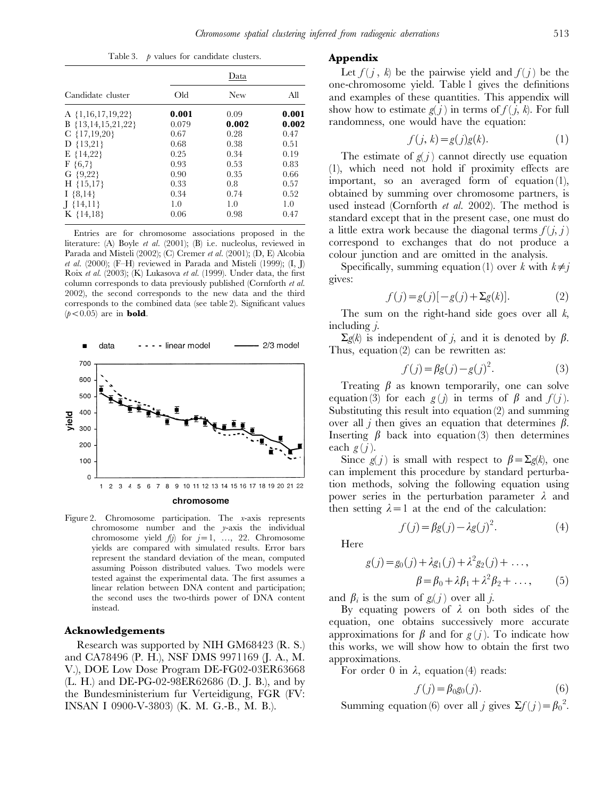Table 3.  $\phi$  values for candidate clusters.

|                       | Data  |            |       |  |  |  |  |  |  |
|-----------------------|-------|------------|-------|--|--|--|--|--|--|
| Candidate cluster     | Old   | <b>New</b> | All   |  |  |  |  |  |  |
| A $\{1,16,17,19,22\}$ | 0.001 | 0.09       | 0.001 |  |  |  |  |  |  |
| $B$ {13,14,15,21,22}  | 0.079 | 0.002      | 0.002 |  |  |  |  |  |  |
| $C$ {17,19,20}        | 0.67  | 0.28       | 0.47  |  |  |  |  |  |  |
| $D$ {13,21}           | 0.68  | 0.38       | 0.51  |  |  |  |  |  |  |
| $E\{14,22\}$          | 0.25  | 0.34       | 0.19  |  |  |  |  |  |  |
| $F \{6,7\}$           | 0.93  | 0.53       | 0.83  |  |  |  |  |  |  |
| G $\{9,22\}$          | 0.90  | 0.35       | 0.66  |  |  |  |  |  |  |
| $H \{15,17\}$         | 0.33  | 0.8        | 0.57  |  |  |  |  |  |  |
| $I \{8,14\}$          | 0.34  | 0.74       | 0.52  |  |  |  |  |  |  |
| $[$ {14,11}           | 1.0   | 1.0        | 1.0   |  |  |  |  |  |  |
| $K \{14,18\}$         | 0.06  | 0.98       | 0.47  |  |  |  |  |  |  |

Entries are for chromosome associations proposed in the literature: (A) Boyle et al. (2001); (B) i.e. nucleolus, reviewed in Parada and Misteli (2002); (C) Cremer et al. (2001); (D, E) Alcobia et al. (2000); (F-H) reviewed in Parada and Misteli (1999);  $(I, J)$ Roix et al. (2003); (K) Lukasova et al. (1999). Under data, the first column corresponds to data previously published (Cornforth et al. 2002), the second corresponds to the new data and the third corresponds to the combined data (see table 2). Significant values  $(p<0.05)$  are in **bold**.



Figure 2. Chromosome participation. The x-axis represents chromosome number and the y-axis the individual chromosome yield  $f(j)$  for  $j=1, \ldots, 22$ . Chromosome yields are compared with simulated results. Error bars represent the standard deviation of the mean, computed assuming Poisson distributed values. Two models were tested against the experimental data. The first assumes a linear relation between DNA content and participation; the second uses the two-thirds power of DNA content instead.

## Acknowledgements

Research was supported by NIH GM68423 (R. S.) and CA78496 (P. H.), NSF DMS 9971169 (J. A., M. V.), DOE Low Dose Program DE-FG02-03ER63668 (L. H.) and DE-PG-02-98ER62686 (D. J. B.), and by the Bundesministerium fur Verteidigung, FGR (FV: INSAN I 0900-V-3803) (K. M. G.-B., M. B.).

## Appendix

Let  $f(j, k)$  be the pairwise yield and  $f(j)$  be the one-chromosome yield. Table 1 gives the definitions and examples of these quantities. This appendix will show how to estimate  $g(j)$  in terms of  $f(j, k)$ . For full randomness, one would have the equation:

$$
f(j,k) = g(j)g(k).
$$
 (1)

The estimate of  $g(j)$  cannot directly use equation (1), which need not hold if proximity effects are important, so an averaged form of equation (1), obtained by summing over chromosome partners, is used instead (Cornforth et al. 2002). The method is standard except that in the present case, one must do a little extra work because the diagonal terms  $f(i, i)$ correspond to exchanges that do not produce a colour junction and are omitted in the analysis.

Specifically, summing equation (1) over k with  $k\neq j$ gives:

$$
f(j) = g(j)\left[-g(j) + \Sigma g(k)\right].\tag{2}
$$

The sum on the right-hand side goes over all  $k$ , including  $i$ .

 $\Sigma g(k)$  is independent of j, and it is denoted by  $\beta$ . Thus, equation (2) can be rewritten as:

$$
f(j) = \beta g(j) - g(j)^2.
$$
 (3)

Treating  $\beta$  as known temporarily, one can solve equation (3) for each  $g(j)$  in terms of  $\beta$  and  $f(j)$ . Substituting this result into equation (2) and summing over all *j* then gives an equation that determines  $\beta$ . Inserting  $\beta$  back into equation (3) then determines each  $g(j)$ .

Since  $g(j)$  is small with respect to  $\beta = \sum g(k)$ , one can implement this procedure by standard perturbation methods, solving the following equation using power series in the perturbation parameter  $\lambda$  and then setting  $\lambda = 1$  at the end of the calculation:

$$
f(j) = \beta g(j) - \lambda g(j)^2.
$$
 (4)

Here

$$
g(j) = g_0(j) + \lambda g_1(j) + \lambda^2 g_2(j) + ..., \n\beta = \beta_0 + \lambda \beta_1 + \lambda^2 \beta_2 + ...,
$$
\n(5)

and  $\beta_i$  is the sum of  $g_i(j)$  over all j.

By equating powers of  $\lambda$  on both sides of the equation, one obtains successively more accurate approximations for  $\beta$  and for  $g(j)$ . To indicate how this works, we will show how to obtain the first two approximations.

For order 0 in  $\lambda$ , equation (4) reads:

$$
f(j) = \beta_0 g_0(j). \tag{6}
$$

Summing equation (6) over all j gives  $\Sigma f(j) = \beta_0^2$ .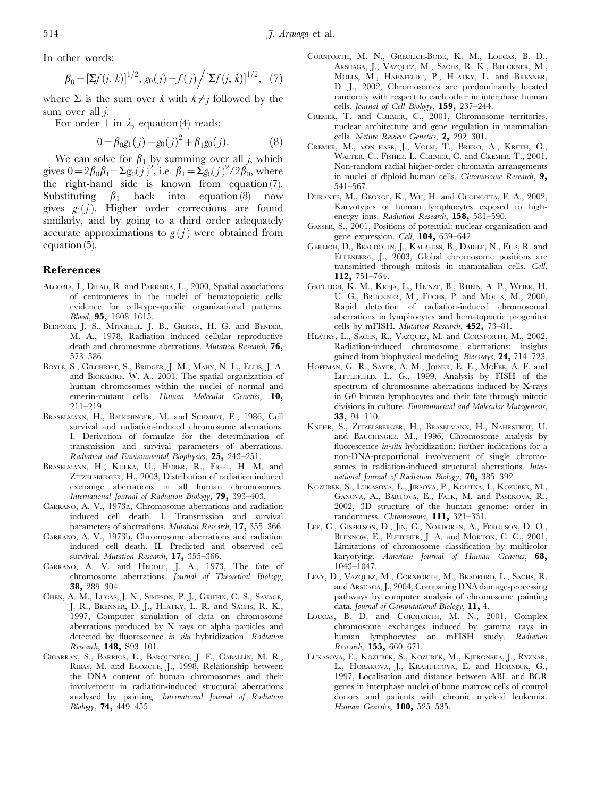In other words:

$$
\beta_0 = \left[\Sigma f(j,k)\right]^{1/2}, g_0(j) = f(j) / \left[\Sigma f(j,k)\right]^{1/2}, (7)
$$

where  $\Sigma$  is the sum over k with  $k\neq j$  followed by the sum over all  $i$ .

For order 1 in  $\lambda$ , equation (4) reads:

$$
0 = \beta_0 g_1(j) - g_0(j)^2 + \beta_1 g_0(j). \tag{8}
$$

We can solve for  $\beta_1$  by summing over all j, which gives  $0 = 2\beta_0\beta_1 - \Sigma g_0(j)^2$ , i.e.  $\beta_1 = \Sigma g_0(j)^2/2\beta_0$ , where the right-hand side is known from equation (7). Substituting  $\beta_1$  back into equation (8) now gives  $g_1(j)$ . Higher order corrections are found similarly, and by going to a third order adequately accurate approximations to  $g(j)$  were obtained from equation (5).

## References

- ALCOBIA, I., DILAO, R. and PARREIRA, L., 2000, Spatial associations of centromeres in the nuclei of hematopoietic cells: evidence for cell-type-specific organizational patterns. Blood, 95, 1608–1615.
- BEDFORD, J. S., MITCHELL, J. B., GRIGGS, H. G. and BENDER, M. A., 1978, Radiation induced cellular reproductive death and chromosome aberrations. Mutation Research, 76, 573–586.
- BOYLE, S., GILCHRIST, S., BRIDGER, J. M., MAHY, N. L., ELLIS, J. A. and BICKMORE, W. A., 2001, The spatial organization of human chromosomes within the nuclei of normal and emerin-mutant cells. Human Molecular Genetics, 10, 211–219.
- BRASELMANN, H., BAUCHINGER, M. and SCHMIDT, E., 1986, Cell survival and radiation-induced chromosome aberrations. I. Derivation of formulae for the determination of transmission and survival parameters of aberrations. Radiation and Environmental Biophysics, 25, 243–251.
- BRASELMANN, H., KULKA, U., HUBER, R., FIGEL, H. M. and ZITZELSBERGER, H., 2003, Distribution of radiation induced exchange aberrations in all human chromosomes. International Journal of Radiation Biology, 79, 393–403.
- CARRANO, A. V., 1973a, Chromosome aberrations and radiation induced cell death. I. Transmission and survival parameters of aberrations. Mutation Research, 17, 355–366.
- CARRANO, A. V., 1973b, Chromosome aberrations and radiation induced cell death. II. Predicted and observed cell survival. Mutation Research, 17, 355-366.
- CARRANO, A. V. and HEDDLE, J. A., 1973, The fate of chromosome aberrations. Journal of Theoretical Biology, 38, 289–304.
- CHEN, A. M., LUCAS, J. N., SIMPSON, P. J., GRIFFIN, C. S., SAVAGE, J. R., BRENNER, D. J., HLATKY, L. R. and SACHS, R. K., 1997, Computer simulation of data on chromosome aberrations produced by X rays or alpha particles and detected by fluorescence in situ hybridization. Radiation Research, 148, S93–101.
- CIGARRÁN, S., BARRIOS, L., BARQUINERO, J. F., CABALLÍN, M. R., RIBAS, M. and EGOZCUE, J., 1998, Relationship between the DNA content of human chromosomes and their involvement in radiation-induced structural aberrations analysed by painting. International Journal of Radiation Biology, 74, 449–455.
- CORNFORTH, M. N., GREULICH-BODE, K. M., LOUCAS, B. D., ARSUAGA, J., VAZQUEZ, M., SACHS, R. K., BRUCKNER, M., MOLLS, M., HAHNFELDT, P., HLATKY, L. and BRENNER, D. J., 2002, Chromosomes are predominantly located randomly with respect to each other in interphase human cells. Journal of Cell Biology, 159, 237-244.
- CREMER, T. and CREMER, C., 2001, Chromosome territories, nuclear architecture and gene regulation in mammalian cells. Nature Review Genetics, 2, 292-301.
- CREMER, M., vON HASE, J., VOLM, T., BRERO, A., KRETH, G., WALTER, C., FISHER, I., CREMER, C. and CREMER, T., 2001, Non-random radial higher-order chromatin arrangements in nuclei of diploid human cells. Chromosome Research, 9, 541–567.
- DURANTE, M., GEORGE, K., WU, H. and CUCINOTTA, F. A., 2002, Karyotypes of human lymphocytes exposed to highenergy ions. Radiation Research, 158, 581-590.
- GASSER, S., 2001, Positions of potential: nuclear organization and gene expression. Cell, **104,** 639–642.
- GERLICH, D., BEAUDOUIN, J., KALBFUSS, B., DAIGLE, N., EILS, R. and ELLENBERG, J., 2003, Global chromosome positions are transmitted through mitosis in mammalian cells. Cell, 112, 751–764.
- GREULICH, K. M., KREJA, L., HEINZE, B., RHEIN, A. P., WEIER, H. U. G., BRÜCKNER, M., FUCHS, P. and MOLLS, M., 2000, Rapid detection of radiation-induced chromosomal aberrations in lymphocytes and hematopoetic progenitor cells by mFISH. Mutation Research, 452, 73–81.
- HLATKY, L., SACHS, R., VAZQUEZ, M. and CORNFORTH, M., 2002, Radiation-induced chromosome aberrations: insights gained from biophysical modeling. Bioessays, 24, 714–723.
- HOFFMAN, G. R., SAYER, A. M., JOINER, E. E., MCFEE, A. F. and LITTLEFIELD, L. G., 1999, Analysis by FISH of the spectrum of chromosome aberrations induced by X-rays in G0 human lymphocytes and their fate through mitotic divisions in culture. Environmental and Molecular Mutagenesis, 33, 94–110.
- KNEHR, S., ZITZELSBERGER, H., BRASELMANN, H., NAHRSTEDT, U. and BAUCHINGER, M., 1996, Chromosome analysis by fluorescence *in-situ* hybridization: further indications for a non-DNA-proportional involvement of single chromosomes in radiation-induced structural aberrations. International Journal of Radiation Biology, 70, 385-392.
- KOZUBEK, S., LUKASOVA, E., JIRSOVA, P., KOUTNA, I., KOZUBEK, M., GANOVA, A., BARTOVA, E., FALK, M. and PASEKOVA, R., 2002, 3D structure of the human genome: order in randomness. Chromosoma, 111, 321–331.
- LEE, C., GISSELSON, D., JIN, C., NORDGREN, A., FERGUSON, D. O., BLENNOW, E., FLETCHER, J. A. and MORTON, C. C., 2001, Limitations of chromosome classification by multicolor karyotying. American Journal of Human Genetics, 68, 1043–1047.
- LEVY, D., VAZQUEZ, M., CORNFORTH, M., BRADFORD, L., SACHS, R. and ARSUAGA, J., 2004, Comparing DNA damage-processing pathways by computer analysis of chromosome painting data. Journal of Computational Biology, 11, 4.
- LOUCAS, B. D. and CORNFORTH, M. N., 2001, Complex chromosome exchanges induced by gamma rays in human lymphocytes: an mFISH study. Radiation Research, 155, 660–671.
- LUKASOVA, E., KOZUBEK, S., KOZUBEK, M., KJERONSKA, J., RYZNAR, L., HORAKOVA, J., KRAHULCOVA, E. and HORNECK, G., 1997, Localisation and distance between ABL and BCR genes in interphase nuclei of bone marrow cells of control donors and patients with chronic myeloid leukemia. Human Genetics, 100, 525-535.